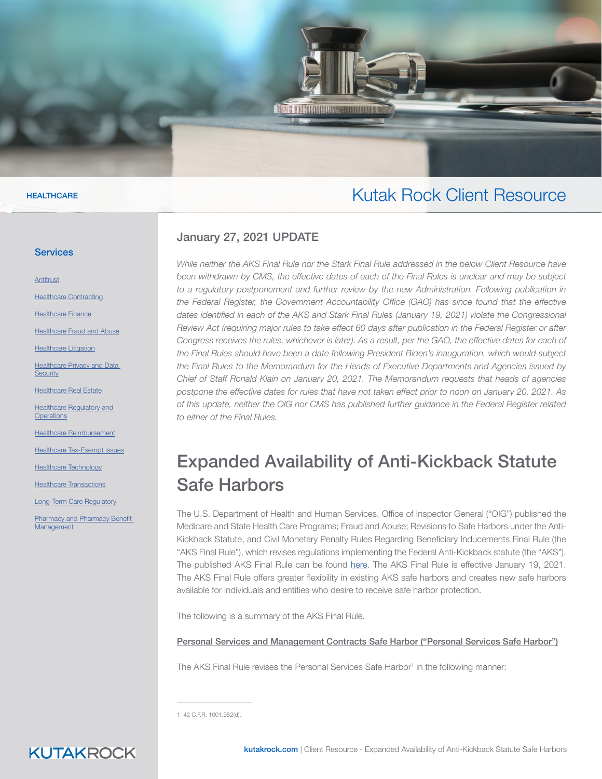## Kutak Rock Client Resource

## January 27, 2021 UPDATE

**Communication** 

*While neither the AKS Final Rule nor the Stark Final Rule addressed in the below Client Resource have been withdrawn by CMS, the effective dates of each of the Final Rules is unclear and may be subject*  to a regulatory postponement and further review by the new Administration. Following publication in the Federal Register, the Government Accountability Office (GAO) has since found that the effective dates identified in each of the AKS and Stark Final Rules (January 19, 2021) violate the Congressional *Review Act (requiring major rules to take effect 60 days after publication in the Federal Register or after Congress receives the rules, whichever is later). As a result, per the GAO, the effective dates for each of the Final Rules should have been a date following President Biden's inauguration, which would subject the Final Rules to the Memorandum for the Heads of Executive Departments and Agencies issued by Chief of Staff Ronald Klain on January 20, 2021. The Memorandum requests that heads of agencies postpone the effective dates for rules that have not taken effect prior to noon on January 20, 2021. As of this update, neither the OIG nor CMS has published further guidance in the Federal Register related to either of the Final Rules.*

## Expanded Availability of Anti-Kickback Statute Safe Harbors

The U.S. Department of Health and Human Services, Office of Inspector General ("OIG") published the Medicare and State Health Care Programs; Fraud and Abuse; Revisions to Safe Harbors under the Anti-Kickback Statute, and Civil Monetary Penalty Rules Regarding Beneficiary Inducements Final Rule (the "AKS Final Rule"), which revises regulations implementing the Federal Anti-Kickback statute (the "AKS"). The published AKS Final Rule can be found [here.](https://www.govinfo.gov/content/pkg/FR-2020-12-02/pdf/2020-26072.pdf) The AKS Final Rule is effective January 19, 2021. The AKS Final Rule offers greater flexibility in existing AKS safe harbors and creates new safe harbors available for individuals and entities who desire to receive safe harbor protection.

The following is a summary of the AKS Final Rule.

### Personal Services and Management Contracts Safe Harbor ("Personal Services Safe Harbor")

The AKS Final Rule revises the Personal Services Safe Harbor<sup>1</sup> in the following manner:

## **KUTAKROCK**

# **HEALTHCARE**

### **Services**

### **[Antitrust](https://www.kutakrock.com/services/practices/litigation/antitrust)**

[Healthcare Contracting](https://www.kutakrock.com/services/practices/healthcare/healthcare-contracting)

**[Healthcare Finance](https://www.kutakrock.com/services/practices/healthcare/healthcare-finance)** 

[Healthcare Fraud and Abuse](https://www.kutakrock.com/services/practices/healthcare/healthcare-fraud-and-abuse)

[Healthcare Litigation](https://www.kutakrock.com/services/practices/litigation/healthcare-litigation)

**Healthcare Privacy and Data [Security](https://www.kutakrock.com/services/practices/healthcare/healthcare-privacy-and-data-security)** 

**[Healthcare Real Estate](https://www.kutakrock.com/services/practices/healthcare/healthcare-real-estate)** 

Healthcare Regulatory and **[Operations](https://www.kutakrock.com/services/practices/healthcare/healthcare-regulatory-and-operations)** 

**[Healthcare Reimbursement](https://www.kutakrock.com/services/practices/healthcare/healthcare-reimbursement)** 

[Healthcare Tax-Exempt Issues](https://www.kutakrock.com/services/practices/healthcare/healthcare-tax-exempt-issues)

**[Healthcare Technology](https://www.kutakrock.com/services/practices/healthcare/healthcare-technology)** 

[Healthcare Transactions](https://www.kutakrock.com/services/practices/healthcare/healthcare-transactions)

[Long-Term Care Regulatory](https://www.kutakrock.com/services/practices/healthcare/long-term-care-regulatory)

**Pharmacy and Pharmacy Benefit** [Management](https://www.kutakrock.com/services/practices/healthcare/pharmacy-and-pharmacy-benefit-management)

<sup>1. 42</sup> C.F.R. 1001.952(d).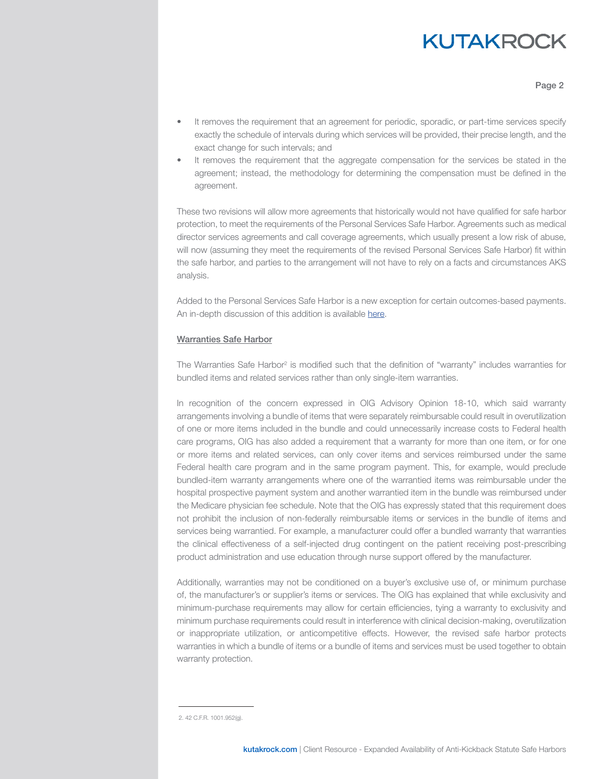Page 2

- It removes the requirement that an agreement for periodic, sporadic, or part-time services specify exactly the schedule of intervals during which services will be provided, their precise length, and the exact change for such intervals; and
- It removes the requirement that the aggregate compensation for the services be stated in the agreement; instead, the methodology for determining the compensation must be defined in the agreement.

These two revisions will allow more agreements that historically would not have qualified for safe harbor protection, to meet the requirements of the Personal Services Safe Harbor. Agreements such as medical director services agreements and call coverage agreements, which usually present a low risk of abuse, will now (assuming they meet the requirements of the revised Personal Services Safe Harbor) fit within the safe harbor, and parties to the arrangement will not have to rely on a facts and circumstances AKS analysis.

Added to the Personal Services Safe Harbor is a new exception for certain outcomes-based payments. An in-depth discussion of this addition is available [here](https://www.kutakrock.com/-/media/files/news-and-publications/publications/2021/01/whitepaper_VBAExceptions_SafeHarbors_StarkAKSRules).

### Warranties Safe Harbor

The Warranties Safe Harbor<sup>2</sup> is modified such that the definition of "warranty" includes warranties for bundled items and related services rather than only single-item warranties.

In recognition of the concern expressed in OIG Advisory Opinion 18-10, which said warranty arrangements involving a bundle of items that were separately reimbursable could result in overutilization of one or more items included in the bundle and could unnecessarily increase costs to Federal health care programs, OIG has also added a requirement that a warranty for more than one item, or for one or more items and related services, can only cover items and services reimbursed under the same Federal health care program and in the same program payment. This, for example, would preclude bundled-item warranty arrangements where one of the warrantied items was reimbursable under the hospital prospective payment system and another warrantied item in the bundle was reimbursed under the Medicare physician fee schedule. Note that the OIG has expressly stated that this requirement does not prohibit the inclusion of non-federally reimbursable items or services in the bundle of items and services being warrantied. For example, a manufacturer could offer a bundled warranty that warranties the clinical effectiveness of a self-injected drug contingent on the patient receiving post-prescribing product administration and use education through nurse support offered by the manufacturer.

Additionally, warranties may not be conditioned on a buyer's exclusive use of, or minimum purchase of, the manufacturer's or supplier's items or services. The OIG has explained that while exclusivity and minimum-purchase requirements may allow for certain efficiencies, tying a warranty to exclusivity and minimum purchase requirements could result in interference with clinical decision-making, overutilization or inappropriate utilization, or anticompetitive effects. However, the revised safe harbor protects warranties in which a bundle of items or a bundle of items and services must be used together to obtain warranty protection.

<sup>2. 42</sup> C.F.R. 1001.952(g).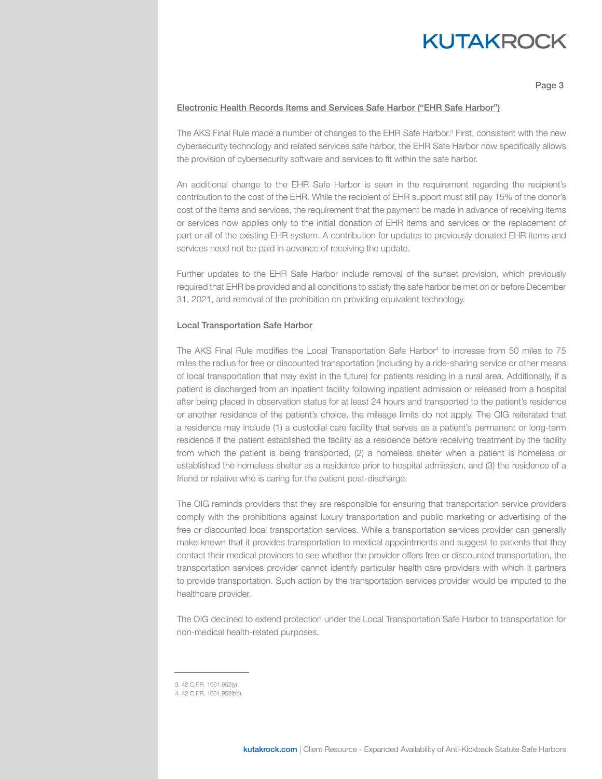Page 3

### Electronic Health Records Items and Services Safe Harbor ("EHR Safe Harbor")

The AKS Final Rule made a number of changes to the EHR Safe Harbor.<sup>3</sup> First, consistent with the new cybersecurity technology and related services safe harbor, the EHR Safe Harbor now specifically allows the provision of cybersecurity software and services to fit within the safe harbor.

An additional change to the EHR Safe Harbor is seen in the requirement regarding the recipient's contribution to the cost of the EHR. While the recipient of EHR support must still pay 15% of the donor's cost of the items and services, the requirement that the payment be made in advance of receiving items or services now applies only to the initial donation of EHR items and services or the replacement of part or all of the existing EHR system. A contribution for updates to previously donated EHR items and services need not be paid in advance of receiving the update.

Further updates to the EHR Safe Harbor include removal of the sunset provision, which previously required that EHR be provided and all conditions to satisfy the safe harbor be met on or before December 31, 2021, and removal of the prohibition on providing equivalent technology.

### Local Transportation Safe Harbor

The AKS Final Rule modifies the Local Transportation Safe Harbor4 to increase from 50 miles to 75 miles the radius for free or discounted transportation (including by a ride-sharing service or other means of local transportation that may exist in the future) for patients residing in a rural area. Additionally, if a patient is discharged from an inpatient facility following inpatient admission or released from a hospital after being placed in observation status for at least 24 hours and transported to the patient's residence or another residence of the patient's choice, the mileage limits do not apply. The OIG reiterated that a residence may include (1) a custodial care facility that serves as a patient's permanent or long-term residence if the patient established the facility as a residence before receiving treatment by the facility from which the patient is being transported, (2) a homeless shelter when a patient is homeless or established the homeless shelter as a residence prior to hospital admission, and (3) the residence of a friend or relative who is caring for the patient post-discharge.

The OIG reminds providers that they are responsible for ensuring that transportation service providers comply with the prohibitions against luxury transportation and public marketing or advertising of the free or discounted local transportation services. While a transportation services provider can generally make known that it provides transportation to medical appointments and suggest to patients that they contact their medical providers to see whether the provider offers free or discounted transportation, the transportation services provider cannot identify particular health care providers with which it partners to provide transportation. Such action by the transportation services provider would be imputed to the healthcare provider.

The OIG declined to extend protection under the Local Transportation Safe Harbor to transportation for non-medical health-related purposes.

<sup>3. 42</sup> C.F.R. 1001.952(y).

<sup>4. 42</sup> C.F.R. 1001.952(bb).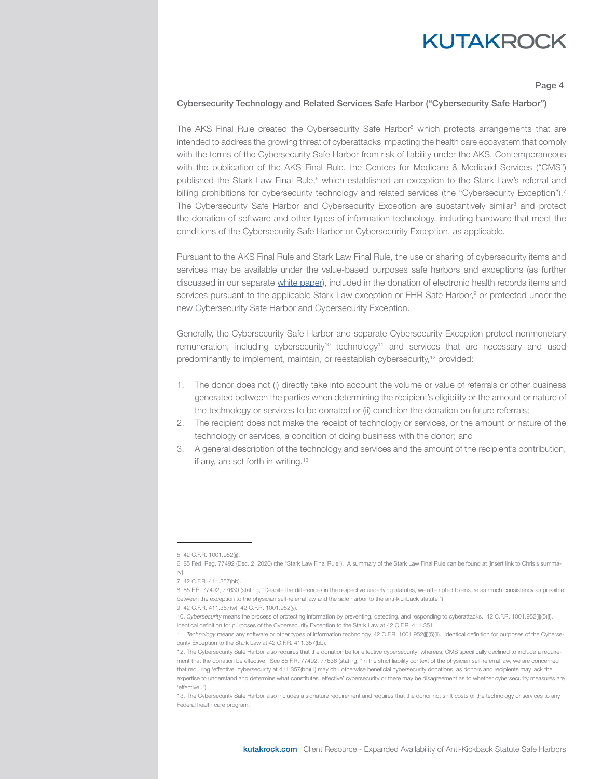Page 4

### Cybersecurity Technology and Related Services Safe Harbor ("Cybersecurity Safe Harbor")

The AKS Final Rule created the Cybersecurity Safe Harbor<sup>5</sup> which protects arrangements that are intended to address the growing threat of cyberattacks impacting the health care ecosystem that comply with the terms of the Cybersecurity Safe Harbor from risk of liability under the AKS. Contemporaneous with the publication of the AKS Final Rule, the Centers for Medicare & Medicaid Services ("CMS") published the Stark Law Final Rule,<sup>6</sup> which established an exception to the Stark Law's referral and billing prohibitions for cybersecurity technology and related services (the "Cybersecurity Exception").<sup>7</sup> The Cybersecurity Safe Harbor and Cybersecurity Exception are substantively similar<sup>8</sup> and protect the donation of software and other types of information technology, including hardware that meet the conditions of the Cybersecurity Safe Harbor or Cybersecurity Exception, as applicable.

Pursuant to the AKS Final Rule and Stark Law Final Rule, the use or sharing of cybersecurity items and services may be available under the value-based purposes safe harbors and exceptions (as further discussed in our separate [white paper\)](https://www.kutakrock.com/-/media/files/news-and-publications/publications/2021/01/whitepaper_VBAExceptions_SafeHarbors_StarkAKSRules), included in the donation of electronic health records items and services pursuant to the applicable Stark Law exception or EHR Safe Harbor,<sup>9</sup> or protected under the new Cybersecurity Safe Harbor and Cybersecurity Exception.

Generally, the Cybersecurity Safe Harbor and separate Cybersecurity Exception protect nonmonetary remuneration, including cybersecurity<sup>10</sup> technology<sup>11</sup> and services that are necessary and used predominantly to implement, maintain, or reestablish cybersecurity,<sup>12</sup> provided:

- 1. The donor does not (i) directly take into account the volume or value of referrals or other business generated between the parties when determining the recipient's eligibility or the amount or nature of the technology or services to be donated or (ii) condition the donation on future referrals;
- 2. The recipient does not make the receipt of technology or services, or the amount or nature of the technology or services, a condition of doing business with the donor; and
- 3. A general description of the technology and services and the amount of the recipient's contribution, if any, are set forth in writing.<sup>13</sup>

<sup>5. 42</sup> C.F.R. 1001.952(jj).

<sup>6. 85</sup> Fed. Reg. 77492 (Dec. 2, 2020) (the "Stark Law Final Rule"). A summary of the Stark Law Final Rule can be found at [insert link to Chris's summary].

<sup>7. 42</sup> C.F.R. 411.357(bb).

<sup>8. 85</sup> F.R. 77492, 77630 (stating, "Despite the differences in the respective underlying statutes, we attempted to ensure as much consistency as possible between the exception to the physician self-referral law and the safe harbor to the anti-kickback statute.")

<sup>9. 42</sup> C.F.R. 411.357(w); 42 C.F.R. 1001.952(y).

<sup>10.</sup> *Cybersecurity* means the process of protecting information by preventing, detecting, and responding to cyberattacks. 42 C.F.R. 1001.952(jj)(5)(i). Identical definition for purposes of the Cybersecurity Exception to the Stark Law at 42 C.F.R. 411.351.

<sup>11.</sup> *Technology* means any software or other types of information technology. 42 C.F.R. 1001.952(jj)(5)(ii). Identical definition for purposes of the Cybersecurity Exception to the Stark Law at 42 C.F.R. 411.357(bb).

<sup>12.</sup> The Cybersecurity Safe Harbor also requires that the donation be for effective cybersecurity; whereas, CMS specifically declined to include a requirement that the donation be effective. See 85 F.R. 77492, 77636 (stating, "In the strict liability context of the physician self-referral law, we are concerned that requiring 'effective' cybersecurity at 411.357(bb)(1) may chill otherwise beneficial cybersecurity donations, as donors and recipients may lack the expertise to understand and determine what constitutes 'effective' cybersecurity or there may be disagreement as to whether cybersecurity measures are 'effective'.")

<sup>13.</sup> The Cybersecurity Safe Harbor also includes a signature requirement and requires that the donor not shift costs of the technology or services to any Federal health care program.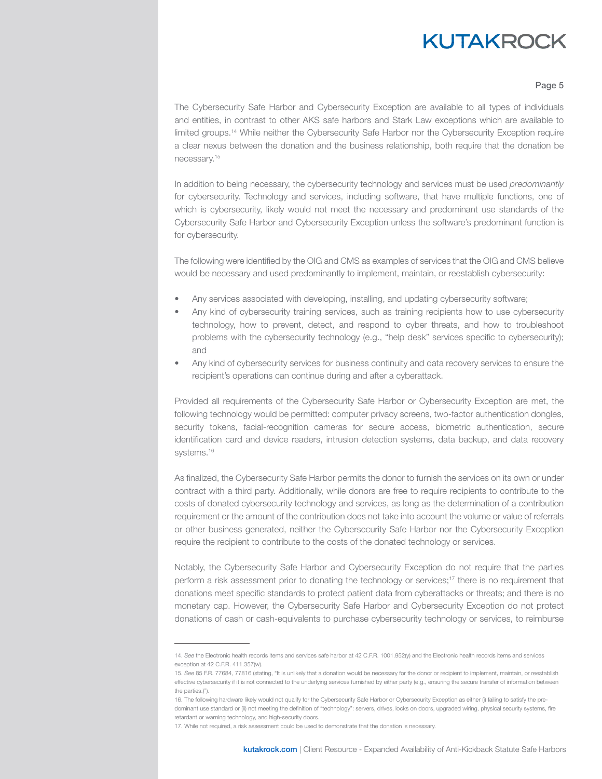#### Page 5

The Cybersecurity Safe Harbor and Cybersecurity Exception are available to all types of individuals and entities, in contrast to other AKS safe harbors and Stark Law exceptions which are available to limited groups.14 While neither the Cybersecurity Safe Harbor nor the Cybersecurity Exception require a clear nexus between the donation and the business relationship, both require that the donation be necessary.15

In addition to being necessary, the cybersecurity technology and services must be used *predominantly*  for cybersecurity. Technology and services, including software, that have multiple functions, one of which is cybersecurity, likely would not meet the necessary and predominant use standards of the Cybersecurity Safe Harbor and Cybersecurity Exception unless the software's predominant function is for cybersecurity.

The following were identified by the OIG and CMS as examples of services that the OIG and CMS believe would be necessary and used predominantly to implement, maintain, or reestablish cybersecurity:

- Any services associated with developing, installing, and updating cybersecurity software;
- Any kind of cybersecurity training services, such as training recipients how to use cybersecurity technology, how to prevent, detect, and respond to cyber threats, and how to troubleshoot problems with the cybersecurity technology (e.g., "help desk" services specific to cybersecurity); and
- Any kind of cybersecurity services for business continuity and data recovery services to ensure the recipient's operations can continue during and after a cyberattack.

Provided all requirements of the Cybersecurity Safe Harbor or Cybersecurity Exception are met, the following technology would be permitted: computer privacy screens, two-factor authentication dongles, security tokens, facial-recognition cameras for secure access, biometric authentication, secure identification card and device readers, intrusion detection systems, data backup, and data recovery systems.<sup>16</sup>

As finalized, the Cybersecurity Safe Harbor permits the donor to furnish the services on its own or under contract with a third party. Additionally, while donors are free to require recipients to contribute to the costs of donated cybersecurity technology and services, as long as the determination of a contribution requirement or the amount of the contribution does not take into account the volume or value of referrals or other business generated, neither the Cybersecurity Safe Harbor nor the Cybersecurity Exception require the recipient to contribute to the costs of the donated technology or services.

Notably, the Cybersecurity Safe Harbor and Cybersecurity Exception do not require that the parties perform a risk assessment prior to donating the technology or services;17 there is no requirement that donations meet specific standards to protect patient data from cyberattacks or threats; and there is no monetary cap. However, the Cybersecurity Safe Harbor and Cybersecurity Exception do not protect donations of cash or cash-equivalents to purchase cybersecurity technology or services, to reimburse

<sup>14.</sup> *See* the Electronic health records items and services safe harbor at 42 C.F.R. 1001.952(y) and the Electronic health records items and services exception at 42 C.F.R. 411.357(w).

<sup>15.</sup> *See* 85 F.R. 77684, 77816 (stating, "It is unlikely that a donation would be necessary for the donor or recipient to implement, maintain, or reestablish effective cybersecurity if it is not connected to the underlying services furnished by either party (e.g., ensuring the secure transfer of information between the parties.)").

<sup>16.</sup> The following hardware likely would not qualify for the Cybersecurity Safe Harbor or Cybersecurity Exception as either (i) failing to satisfy the predominant use standard or (ii) not meeting the definition of "technology": servers, drives, locks on doors, upgraded wiring, physical security systems, fire retardant or warning technology, and high-security doors.

<sup>17.</sup> While not required, a risk assessment could be used to demonstrate that the donation is necessary.